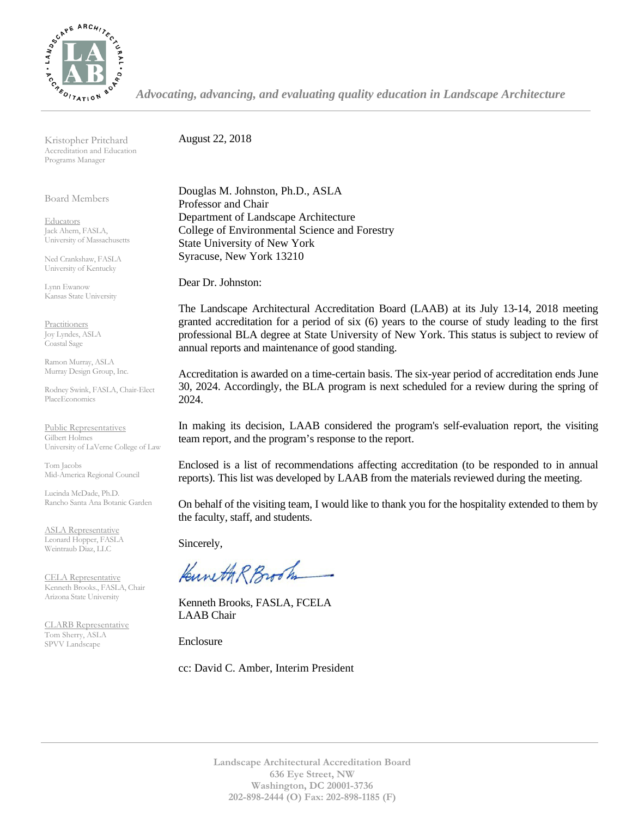

*Advocating, advancing, and evaluating quality education in Landscape Architecture*

Kristopher Pritchard Accreditation and Education Programs Manager

Board Members

**Educators** Jack Ahern, FASLA, University of Massachusetts

Ned Crankshaw, FASLA University of Kentucky

Lynn Ewanow Kansas State University

**Practitioners** Joy Lyndes, ASLA Coastal Sage

Ramon Murray, ASLA Murray Design Group, Inc.

Rodney Swink, FASLA, Chair-Elect PlaceEconomics

Public Representatives Gilbert Holmes University of LaVerne College of Law

Tom Jacobs Mid-America Regional Council

Lucinda McDade, Ph.D. Rancho Santa Ana Botanic Garden

ASLA Representative Leonard Hopper, FASLA Weintraub Diaz, LLC

CELA Representative Kenneth Brooks., FASLA, Chair Arizona State University

CLARB Representative Tom Sherry, ASLA SPVV Landscape

August 22, 2018

Douglas M. Johnston, Ph.D., ASLA Professor and Chair Department of Landscape Architecture College of Environmental Science and Forestry State University of New York Syracuse, New York 13210

Dear Dr. Johnston:

The Landscape Architectural Accreditation Board (LAAB) at its July 13-14, 2018 meeting granted accreditation for a period of six (6) years to the course of study leading to the first professional BLA degree at State University of New York. This status is subject to review of annual reports and maintenance of good standing.

Accreditation is awarded on a time-certain basis. The six-year period of accreditation ends June 30, 2024. Accordingly, the BLA program is next scheduled for a review during the spring of 2024.

In making its decision, LAAB considered the program's self-evaluation report, the visiting team report, and the program's response to the report.

Enclosed is a list of recommendations affecting accreditation (to be responded to in annual reports). This list was developed by LAAB from the materials reviewed during the meeting.

On behalf of the visiting team, I would like to thank you for the hospitality extended to them by the faculty, staff, and students.

Sincerely,

Kuneth R Brook

Kenneth Brooks, FASLA, FCELA LAAB Chair

Enclosure

cc: David C. Amber, Interim President

**Landscape Architectural Accreditation Board 636 Eye Street, NW Washington, DC 20001-3736 202-898-2444 (O) Fax: 202-898-1185 (F)**